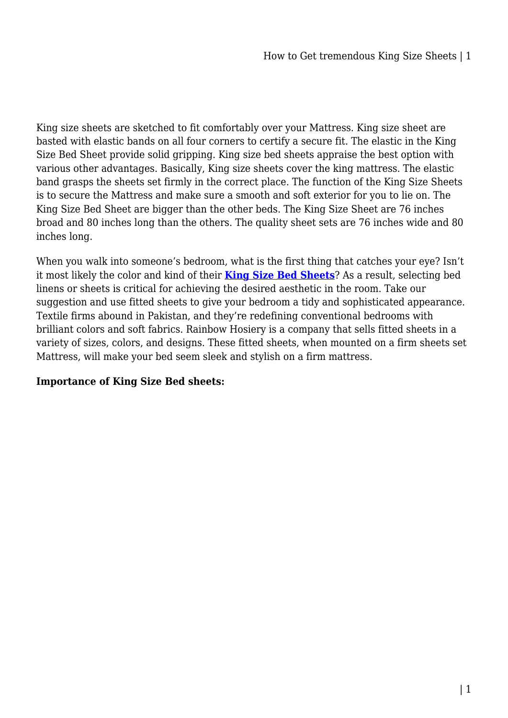King size sheets are sketched to fit comfortably over your Mattress. King size sheet are basted with elastic bands on all four corners to certify a secure fit. The elastic in the King Size Bed Sheet provide solid gripping. King size bed sheets appraise the best option with various other advantages. Basically, King size sheets cover the king mattress. The elastic band grasps the sheets set firmly in the correct place. The function of the King Size Sheets is to secure the Mattress and make sure a smooth and soft exterior for you to lie on. The King Size Bed Sheet are bigger than the other beds. The King Size Sheet are 76 inches broad and 80 inches long than the others. The quality sheet sets are 76 inches wide and 80 inches long.

When you walk into someone's bedroom, what is the first thing that catches your eye? Isn't it most likely the color and kind of their **[King Size Bed Sheets](https://mattressoffers.com.au/sheet-set/king-sheet-set/)**? As a result, selecting bed linens or sheets is critical for achieving the desired aesthetic in the room. Take our suggestion and use fitted sheets to give your bedroom a tidy and sophisticated appearance. Textile firms abound in Pakistan, and they're redefining conventional bedrooms with brilliant colors and soft fabrics. Rainbow Hosiery is a company that sells fitted sheets in a variety of sizes, colors, and designs. These fitted sheets, when mounted on a firm sheets set Mattress, will make your bed seem sleek and stylish on a firm mattress.

### **Importance of King Size Bed sheets:**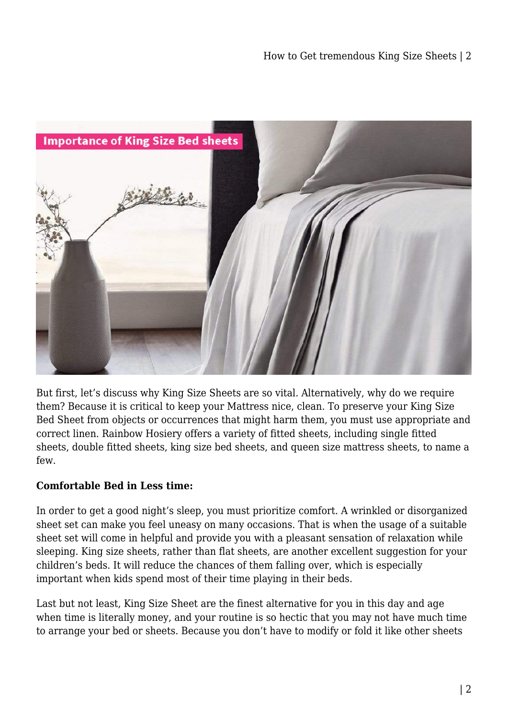

But first, let's discuss why King Size Sheets are so vital. Alternatively, why do we require them? Because it is critical to keep your Mattress nice, clean. To preserve your King Size Bed Sheet from objects or occurrences that might harm them, you must use appropriate and correct linen. Rainbow Hosiery offers a variety of fitted sheets, including single fitted sheets, double fitted sheets, king size bed sheets, and queen size mattress sheets, to name a few.

# **Comfortable Bed in Less time:**

In order to get a good night's sleep, you must prioritize comfort. A wrinkled or disorganized sheet set can make you feel uneasy on many occasions. That is when the usage of a suitable sheet set will come in helpful and provide you with a pleasant sensation of relaxation while sleeping. King size sheets, rather than flat sheets, are another excellent suggestion for your children's beds. It will reduce the chances of them falling over, which is especially important when kids spend most of their time playing in their beds.

Last but not least, King Size Sheet are the finest alternative for you in this day and age when time is literally money, and your routine is so hectic that you may not have much time to arrange your bed or sheets. Because you don't have to modify or fold it like other sheets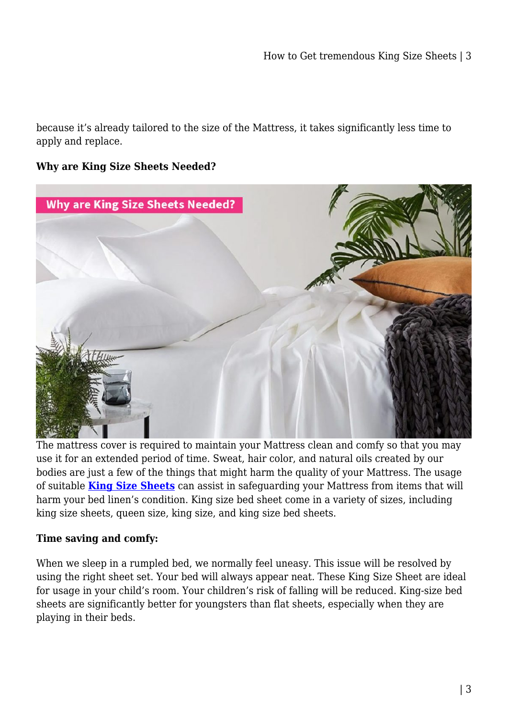because it's already tailored to the size of the Mattress, it takes significantly less time to apply and replace.

#### **Why are King Size Sheets Needed?**



The mattress cover is required to maintain your Mattress clean and comfy so that you may use it for an extended period of time. Sweat, hair color, and natural oils created by our bodies are just a few of the things that might harm the quality of your Mattress. The usage of suitable **[King Size Sheets](https://mattressoffers.com.au/sheet-set/king-sheet-set/)** can assist in safeguarding your Mattress from items that will harm your bed linen's condition. King size bed sheet come in a variety of sizes, including king size sheets, queen size, king size, and king size bed sheets.

#### **Time saving and comfy:**

When we sleep in a rumpled bed, we normally feel uneasy. This issue will be resolved by using the right sheet set. Your bed will always appear neat. These King Size Sheet are ideal for usage in your child's room. Your children's risk of falling will be reduced. King-size bed sheets are significantly better for youngsters than flat sheets, especially when they are playing in their beds.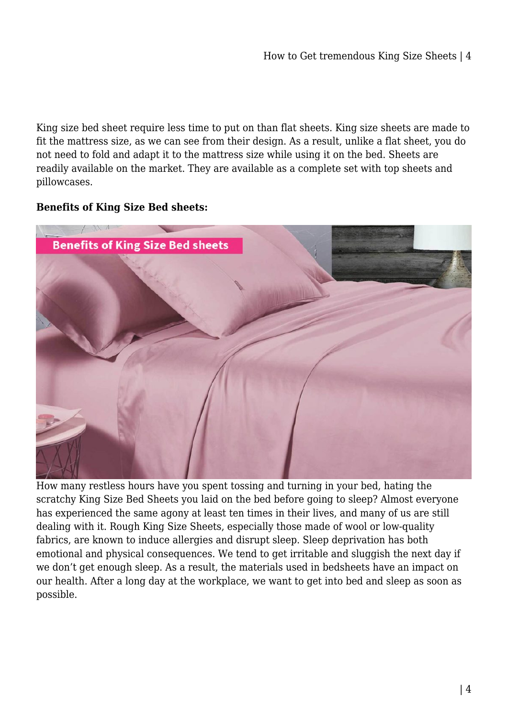King size bed sheet require less time to put on than flat sheets. King size sheets are made to fit the mattress size, as we can see from their design. As a result, unlike a flat sheet, you do not need to fold and adapt it to the mattress size while using it on the bed. Sheets are readily available on the market. They are available as a complete set with top sheets and pillowcases.

### **Benefits of King Size Bed sheets:**



How many restless hours have you spent tossing and turning in your bed, hating the scratchy King Size Bed Sheets you laid on the bed before going to sleep? Almost everyone has experienced the same agony at least ten times in their lives, and many of us are still dealing with it. Rough King Size Sheets, especially those made of wool or low-quality fabrics, are known to induce allergies and disrupt sleep. Sleep deprivation has both emotional and physical consequences. We tend to get irritable and sluggish the next day if we don't get enough sleep. As a result, the materials used in bedsheets have an impact on our health. After a long day at the workplace, we want to get into bed and sleep as soon as possible.